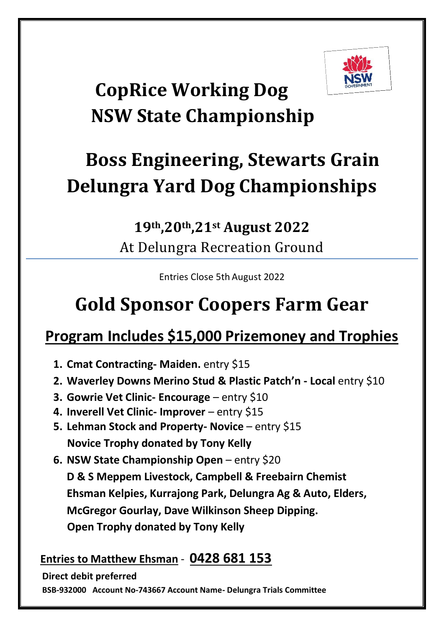

# **CopRice Working Dog NSW State Championship**

# **Boss Engineering, Stewarts Grain Delungra Yard Dog Championships**

### **19th,20th ,21st August 2022** At Delungra Recreation Ground

Entries Close 5th August 2022

## **Gold Sponsor Coopers Farm Gear**

## **Program Includes \$15,000 Prizemoney and Trophies**

- **1. Cmat Contracting- Maiden.** entry \$15
- **2. Waverley Downs Merino Stud & Plastic Patch'n - Local** entry \$10
- **3. Gowrie Vet Clinic- Encourage** entry \$10
- **4. Inverell Vet Clinic- Improver** entry \$15
- **5. Lehman Stock and Property- Novice** entry \$15 **Novice Trophy donated by Tony Kelly**
- **6. NSW State Championship Open** entry \$20 **D & S Meppem Livestock, Campbell & Freebairn Chemist Ehsman Kelpies, Kurrajong Park, Delungra Ag & Auto, Elders, McGregor Gourlay, Dave Wilkinson Sheep Dipping. Open Trophy donated by Tony Kelly**

#### **Entries to Matthew Ehsman** - **0428 681 153**

**Direct debit preferred**

**BSB-932000 Account No-743667 Account Name- Delungra Trials Committee**